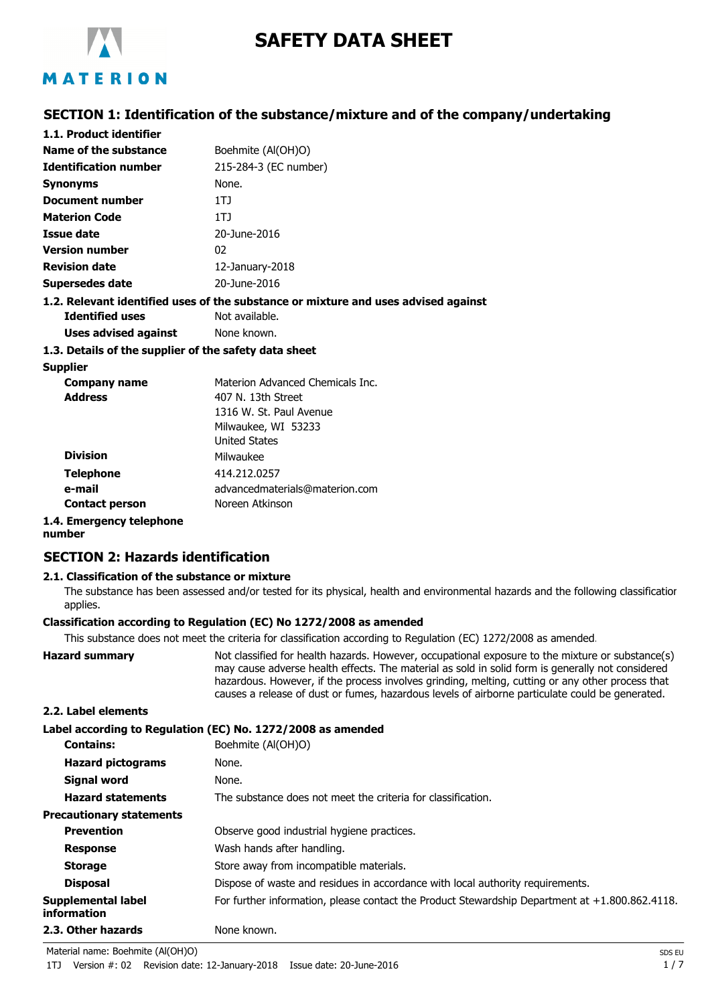

# **SAFETY DATA SHEET**

# **SECTION 1: Identification of the substance/mixture and of the company/undertaking**

| 1.1. Product identifier                               |                                                                                    |
|-------------------------------------------------------|------------------------------------------------------------------------------------|
| Name of the substance                                 | Boehmite (Al(OH)O)                                                                 |
| <b>Identification number</b>                          | 215-284-3 (EC number)                                                              |
| <b>Synonyms</b>                                       | None.                                                                              |
| Document number                                       | 1TJ                                                                                |
| <b>Materion Code</b>                                  | 1TJ                                                                                |
| Issue date                                            | 20-June-2016                                                                       |
| <b>Version number</b>                                 | 02                                                                                 |
| <b>Revision date</b>                                  | $12$ -January-2018                                                                 |
| Supersedes date                                       | 20-June-2016                                                                       |
|                                                       | 1.2. Relevant identified uses of the substance or mixture and uses advised against |
| <b>Identified uses</b>                                | Not available.                                                                     |
| Uses advised against                                  | None known.                                                                        |
| 1.3. Details of the supplier of the safety data sheet |                                                                                    |
| <b>Supplier</b>                                       |                                                                                    |

| <b>Company name</b>      | Materion Advanced Chemicals Inc. |
|--------------------------|----------------------------------|
| <b>Address</b>           | 407 N. 13th Street               |
|                          | 1316 W. St. Paul Avenue          |
|                          | Milwaukee, WI 53233              |
|                          | <b>United States</b>             |
| <b>Division</b>          | Milwaukee                        |
| <b>Telephone</b>         | 414.212.0257                     |
| e-mail                   | advancedmaterials@materion.com   |
| <b>Contact person</b>    | Noreen Atkinson                  |
| 1.4. Emergency telephone |                                  |

# **number**

# **SECTION 2: Hazards identification**

#### **2.1. Classification of the substance or mixture**

The substance has been assessed and/or tested for its physical, health and environmental hazards and the following classification applies.

#### **Classification according to Regulation (EC) No 1272/2008 as amended**

This substance does not meet the criteria for classification according to Regulation (EC) 1272/2008 as amended.

**Hazard summary** Not classified for health hazards. However, occupational exposure to the mixture or substance(s) may cause adverse health effects. The material as sold in solid form is generally not considered hazardous. However, if the process involves grinding, melting, cutting or any other process that causes a release of dust or fumes, hazardous levels of airborne particulate could be generated. **2.2. Label elements Label according to Regulation (EC) No. 1272/2008 as amended**

| <b>Contains:</b>                  | Boehmite (Al(OH)O)                                                                                |
|-----------------------------------|---------------------------------------------------------------------------------------------------|
| <b>Hazard pictograms</b>          | None.                                                                                             |
| Signal word                       | None.                                                                                             |
| <b>Hazard statements</b>          | The substance does not meet the criteria for classification.                                      |
| <b>Precautionary statements</b>   |                                                                                                   |
| <b>Prevention</b>                 | Observe good industrial hygiene practices.                                                        |
| <b>Response</b>                   | Wash hands after handling.                                                                        |
| <b>Storage</b>                    | Store away from incompatible materials.                                                           |
| <b>Disposal</b>                   | Dispose of waste and residues in accordance with local authority requirements.                    |
| Supplemental label<br>information | For further information, please contact the Product Stewardship Department at $+1.800.862.4118$ . |
| 2.3. Other hazards                | None known.                                                                                       |

Material name: Boehmite (Al(OH)O) SDS EU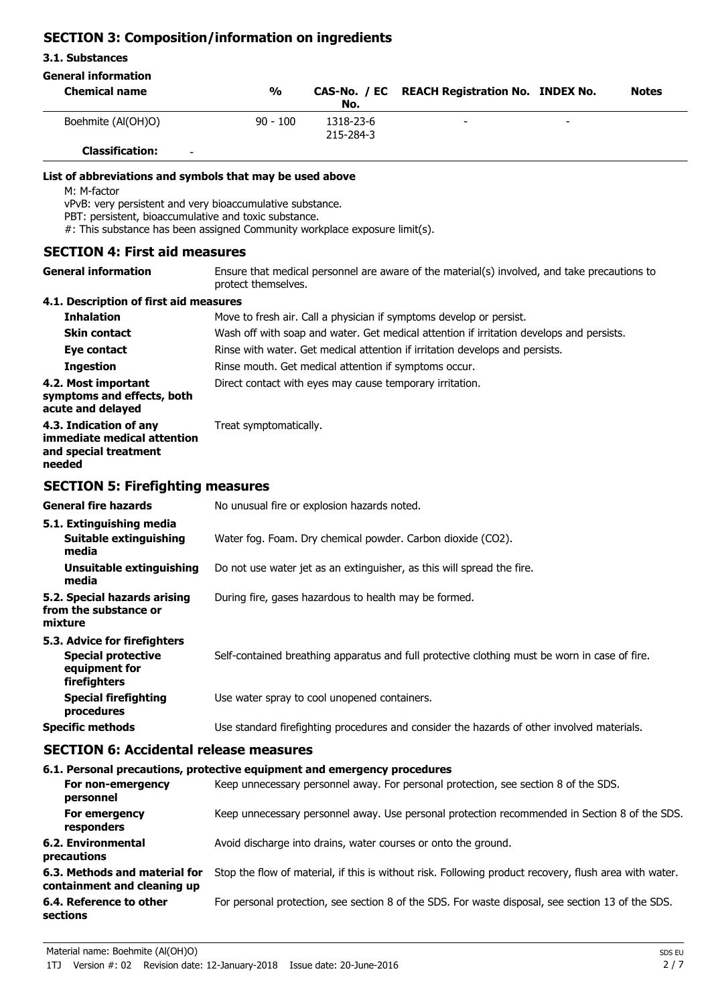# **SECTION 3: Composition/information on ingredients**

| 3.1. Substances                                                                                                                                                                                                                                                             |                        |                                                          |                                                                                               |              |
|-----------------------------------------------------------------------------------------------------------------------------------------------------------------------------------------------------------------------------------------------------------------------------|------------------------|----------------------------------------------------------|-----------------------------------------------------------------------------------------------|--------------|
| <b>General information</b>                                                                                                                                                                                                                                                  |                        |                                                          |                                                                                               |              |
| <b>Chemical name</b>                                                                                                                                                                                                                                                        | $\frac{1}{2}$          | CAS-No. / EC<br>No.                                      | <b>REACH Registration No. INDEX No.</b>                                                       | <b>Notes</b> |
| Boehmite (Al(OH)O)                                                                                                                                                                                                                                                          | $90 - 100$             | 1318-23-6<br>215-284-3                                   |                                                                                               |              |
| <b>Classification:</b>                                                                                                                                                                                                                                                      |                        |                                                          |                                                                                               |              |
| List of abbreviations and symbols that may be used above<br>M: M-factor<br>vPvB: very persistent and very bioaccumulative substance.<br>PBT: persistent, bioaccumulative and toxic substance.<br>#: This substance has been assigned Community workplace exposure limit(s). |                        |                                                          |                                                                                               |              |
| <b>SECTION 4: First aid measures</b>                                                                                                                                                                                                                                        |                        |                                                          |                                                                                               |              |
| <b>General information</b>                                                                                                                                                                                                                                                  | protect themselves.    |                                                          | Ensure that medical personnel are aware of the material(s) involved, and take precautions to  |              |
| 4.1. Description of first aid measures                                                                                                                                                                                                                                      |                        |                                                          |                                                                                               |              |
| <b>Inhalation</b>                                                                                                                                                                                                                                                           |                        |                                                          | Move to fresh air. Call a physician if symptoms develop or persist.                           |              |
| <b>Skin contact</b>                                                                                                                                                                                                                                                         |                        |                                                          | Wash off with soap and water. Get medical attention if irritation develops and persists.      |              |
| Eye contact                                                                                                                                                                                                                                                                 |                        |                                                          | Rinse with water. Get medical attention if irritation develops and persists.                  |              |
| <b>Ingestion</b>                                                                                                                                                                                                                                                            |                        | Rinse mouth. Get medical attention if symptoms occur.    |                                                                                               |              |
| 4.2. Most important<br>symptoms and effects, both<br>acute and delayed                                                                                                                                                                                                      |                        | Direct contact with eyes may cause temporary irritation. |                                                                                               |              |
| 4.3. Indication of any<br>immediate medical attention<br>and special treatment<br>needed                                                                                                                                                                                    | Treat symptomatically. |                                                          |                                                                                               |              |
| <b>SECTION 5: Firefighting measures</b>                                                                                                                                                                                                                                     |                        |                                                          |                                                                                               |              |
| <b>General fire hazards</b>                                                                                                                                                                                                                                                 |                        | No unusual fire or explosion hazards noted.              |                                                                                               |              |
| 5.1. Extinguishing media<br><b>Suitable extinguishing</b><br>media                                                                                                                                                                                                          |                        |                                                          | Water fog. Foam. Dry chemical powder. Carbon dioxide (CO2).                                   |              |
| <b>Unsuitable extinguishing</b><br>media                                                                                                                                                                                                                                    |                        |                                                          | Do not use water jet as an extinguisher, as this will spread the fire.                        |              |
| 5.2. Special hazards arising<br>from the substance or<br>mixture                                                                                                                                                                                                            |                        | During fire, gases hazardous to health may be formed.    |                                                                                               |              |
| 5.3. Advice for firefighters                                                                                                                                                                                                                                                |                        |                                                          |                                                                                               |              |
| <b>Special protective</b><br>equipment for<br>firefighters                                                                                                                                                                                                                  |                        |                                                          | Self-contained breathing apparatus and full protective clothing must be worn in case of fire. |              |

**Special firefighting** Use water spray to cool unopened containers. **procedures**

**Specific methods** Use standard firefighting procedures and consider the hazards of other involved materials.

# **SECTION 6: Accidental release measures**

|                                                              | 6.1. Personal precautions, protective equipment and emergency procedures                               |
|--------------------------------------------------------------|--------------------------------------------------------------------------------------------------------|
| For non-emergency<br>personnel                               | Keep unnecessary personnel away. For personal protection, see section 8 of the SDS.                    |
| For emergency<br>responders                                  | Keep unnecessary personnel away. Use personal protection recommended in Section 8 of the SDS.          |
| 6.2. Environmental<br>precautions                            | Avoid discharge into drains, water courses or onto the ground.                                         |
| 6.3. Methods and material for<br>containment and cleaning up | Stop the flow of material, if this is without risk. Following product recovery, flush area with water. |
| 6.4. Reference to other<br>sections                          | For personal protection, see section 8 of the SDS. For waste disposal, see section 13 of the SDS.      |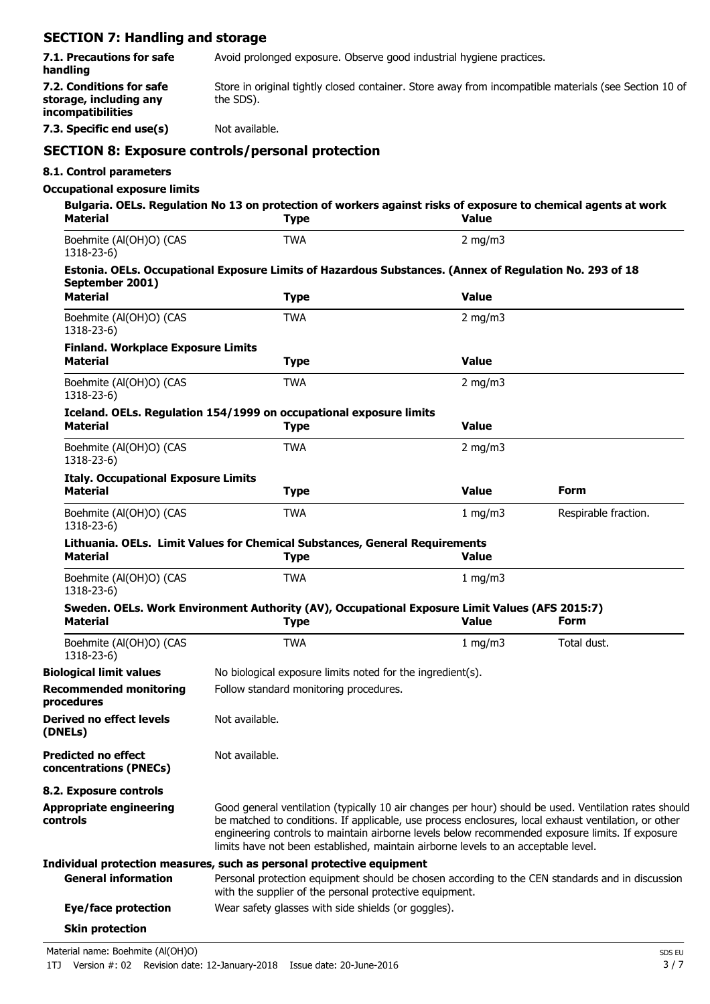# **SECTION 7: Handling and storage**

| 7.1. Precautions for safe<br>handling                                   | Avoid prolonged exposure. Observe good industrial hygiene practices.<br>Store in original tightly closed container. Store away from incompatible materials (see Section 10 of<br>the SDS).<br>Not available. |                                                                                                                                                                                                                                                                                                                                                                                                        |                      |
|-------------------------------------------------------------------------|--------------------------------------------------------------------------------------------------------------------------------------------------------------------------------------------------------------|--------------------------------------------------------------------------------------------------------------------------------------------------------------------------------------------------------------------------------------------------------------------------------------------------------------------------------------------------------------------------------------------------------|----------------------|
| 7.2. Conditions for safe<br>storage, including any<br>incompatibilities |                                                                                                                                                                                                              |                                                                                                                                                                                                                                                                                                                                                                                                        |                      |
| 7.3. Specific end use(s)                                                |                                                                                                                                                                                                              |                                                                                                                                                                                                                                                                                                                                                                                                        |                      |
|                                                                         | <b>SECTION 8: Exposure controls/personal protection</b>                                                                                                                                                      |                                                                                                                                                                                                                                                                                                                                                                                                        |                      |
| 8.1. Control parameters                                                 |                                                                                                                                                                                                              |                                                                                                                                                                                                                                                                                                                                                                                                        |                      |
| <b>Occupational exposure limits</b>                                     |                                                                                                                                                                                                              |                                                                                                                                                                                                                                                                                                                                                                                                        |                      |
| <b>Material</b>                                                         | Bulgaria. OELs. Regulation No 13 on protection of workers against risks of exposure to chemical agents at work<br><b>Type</b>                                                                                | <b>Value</b>                                                                                                                                                                                                                                                                                                                                                                                           |                      |
| Boehmite (Al(OH)O) (CAS<br>1318-23-6)                                   | <b>TWA</b>                                                                                                                                                                                                   | $2$ mg/m $3$                                                                                                                                                                                                                                                                                                                                                                                           |                      |
| September 2001)                                                         | Estonia. OELs. Occupational Exposure Limits of Hazardous Substances. (Annex of Regulation No. 293 of 18                                                                                                      |                                                                                                                                                                                                                                                                                                                                                                                                        |                      |
| <b>Material</b>                                                         | <b>Type</b>                                                                                                                                                                                                  | <b>Value</b>                                                                                                                                                                                                                                                                                                                                                                                           |                      |
| Boehmite (Al(OH)O) (CAS<br>1318-23-6)                                   | <b>TWA</b>                                                                                                                                                                                                   | 2 mg/m $3$                                                                                                                                                                                                                                                                                                                                                                                             |                      |
| <b>Finland. Workplace Exposure Limits</b><br><b>Material</b>            | <b>Type</b>                                                                                                                                                                                                  | <b>Value</b>                                                                                                                                                                                                                                                                                                                                                                                           |                      |
| Boehmite (Al(OH)O) (CAS<br>1318-23-6)                                   | <b>TWA</b>                                                                                                                                                                                                   | $2$ mg/m $3$                                                                                                                                                                                                                                                                                                                                                                                           |                      |
| <b>Material</b>                                                         | Iceland. OELs. Regulation 154/1999 on occupational exposure limits<br><b>Type</b>                                                                                                                            | <b>Value</b>                                                                                                                                                                                                                                                                                                                                                                                           |                      |
| Boehmite (Al(OH)O) (CAS<br>1318-23-6)                                   | <b>TWA</b>                                                                                                                                                                                                   | 2 mg/m $3$                                                                                                                                                                                                                                                                                                                                                                                             |                      |
| <b>Italy. Occupational Exposure Limits</b><br><b>Material</b>           | <b>Type</b>                                                                                                                                                                                                  | Value                                                                                                                                                                                                                                                                                                                                                                                                  | Form                 |
| Boehmite (Al(OH)O) (CAS<br>1318-23-6)                                   | <b>TWA</b>                                                                                                                                                                                                   | 1 mg/m3                                                                                                                                                                                                                                                                                                                                                                                                | Respirable fraction. |
| <b>Material</b>                                                         | Lithuania. OELs. Limit Values for Chemical Substances, General Requirements<br><b>Type</b>                                                                                                                   | <b>Value</b>                                                                                                                                                                                                                                                                                                                                                                                           |                      |
| Boehmite (Al(OH)O) (CAS<br>1318-23-6)                                   | TWA                                                                                                                                                                                                          | 1 $mq/m3$                                                                                                                                                                                                                                                                                                                                                                                              |                      |
| Material                                                                | Sweden. OELs. Work Environment Authority (AV), Occupational Exposure Limit Values (AFS 2015:7)<br><b>Type</b>                                                                                                | <b>Value</b>                                                                                                                                                                                                                                                                                                                                                                                           | <b>Form</b>          |
| Boehmite (Al(OH)O) (CAS<br>1318-23-6)                                   | <b>TWA</b>                                                                                                                                                                                                   | 1 mg/m $3$                                                                                                                                                                                                                                                                                                                                                                                             | Total dust.          |
| <b>Biological limit values</b>                                          | No biological exposure limits noted for the ingredient(s).                                                                                                                                                   |                                                                                                                                                                                                                                                                                                                                                                                                        |                      |
| <b>Recommended monitoring</b><br>procedures                             | Follow standard monitoring procedures.                                                                                                                                                                       |                                                                                                                                                                                                                                                                                                                                                                                                        |                      |
| <b>Derived no effect levels</b><br>(DNELs)                              | Not available.                                                                                                                                                                                               |                                                                                                                                                                                                                                                                                                                                                                                                        |                      |
| <b>Predicted no effect</b><br>concentrations (PNECs)                    | Not available.                                                                                                                                                                                               |                                                                                                                                                                                                                                                                                                                                                                                                        |                      |
| 8.2. Exposure controls                                                  |                                                                                                                                                                                                              |                                                                                                                                                                                                                                                                                                                                                                                                        |                      |
| <b>Appropriate engineering</b><br>controls                              |                                                                                                                                                                                                              | Good general ventilation (typically 10 air changes per hour) should be used. Ventilation rates should<br>be matched to conditions. If applicable, use process enclosures, local exhaust ventilation, or other<br>engineering controls to maintain airborne levels below recommended exposure limits. If exposure<br>limits have not been established, maintain airborne levels to an acceptable level. |                      |
|                                                                         | Individual protection measures, such as personal protective equipment                                                                                                                                        |                                                                                                                                                                                                                                                                                                                                                                                                        |                      |
| <b>General information</b>                                              | with the supplier of the personal protective equipment.                                                                                                                                                      | Personal protection equipment should be chosen according to the CEN standards and in discussion                                                                                                                                                                                                                                                                                                        |                      |
| Eye/face protection                                                     | Wear safety glasses with side shields (or goggles).                                                                                                                                                          |                                                                                                                                                                                                                                                                                                                                                                                                        |                      |
| <b>Skin protection</b>                                                  |                                                                                                                                                                                                              |                                                                                                                                                                                                                                                                                                                                                                                                        |                      |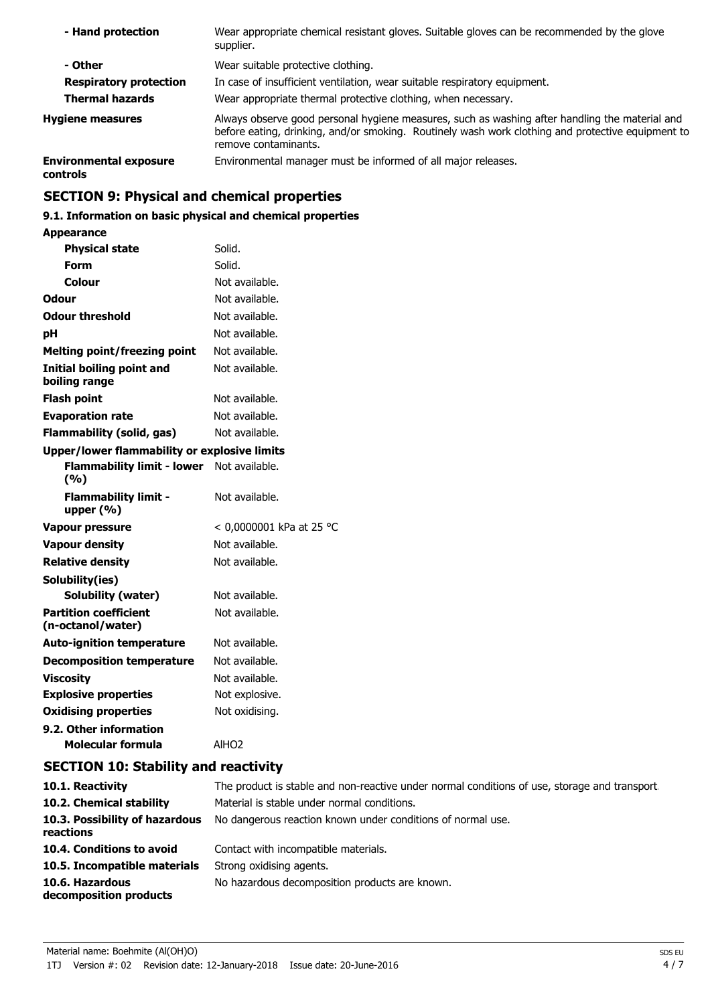| - Hand protection                         | Wear appropriate chemical resistant gloves. Suitable gloves can be recommended by the glove<br>supplier.                                                                                                                    |
|-------------------------------------------|-----------------------------------------------------------------------------------------------------------------------------------------------------------------------------------------------------------------------------|
| - Other                                   | Wear suitable protective clothing.                                                                                                                                                                                          |
| <b>Respiratory protection</b>             | In case of insufficient ventilation, wear suitable respiratory equipment.                                                                                                                                                   |
| <b>Thermal hazards</b>                    | Wear appropriate thermal protective clothing, when necessary.                                                                                                                                                               |
| <b>Hygiene measures</b>                   | Always observe good personal hygiene measures, such as washing after handling the material and<br>before eating, drinking, and/or smoking. Routinely wash work clothing and protective equipment to<br>remove contaminants. |
| <b>Environmental exposure</b><br>controls | Environmental manager must be informed of all major releases.                                                                                                                                                               |
|                                           |                                                                                                                                                                                                                             |

# **SECTION 9: Physical and chemical properties**

# **9.1. Information on basic physical and chemical properties**

## **Appearance**

| <b>Physical state</b>                               | Solid.                   |
|-----------------------------------------------------|--------------------------|
| Form                                                | Solid.                   |
| Colour                                              | Not available.           |
| Odour                                               | Not available.           |
| <b>Odour threshold</b>                              | Not available.           |
| рH                                                  | Not available.           |
| <b>Melting point/freezing point</b>                 | Not available.           |
| Initial boiling point and<br>boiling range          | Not available.           |
| <b>Flash point</b>                                  | Not available.           |
| <b>Evaporation rate</b>                             | Not available.           |
| <b>Flammability (solid, gas)</b>                    | Not available.           |
| <b>Upper/lower flammability or explosive limits</b> |                          |
| <b>Flammability limit - lower</b><br>(%)            | Not available.           |
| <b>Flammability limit -</b><br>upper $(% )$         | Not available.           |
| <b>Vapour pressure</b>                              | < 0,0000001 kPa at 25 °C |
| <b>Vapour density</b>                               | Not available.           |
| <b>Relative density</b>                             | Not available.           |
| Solubility(ies)                                     |                          |
| Solubility (water)                                  | Not available.           |
| <b>Partition coefficient</b><br>(n-octanol/water)   | Not available.           |
| <b>Auto-ignition temperature</b>                    | Not available.           |
| <b>Decomposition temperature</b>                    | Not available.           |
| <b>Viscosity</b>                                    | Not available.           |
| <b>Explosive properties</b>                         | Not explosive.           |
| <b>Oxidising properties</b>                         | Not oxidising.           |
| 9.2. Other information                              |                          |
| Molecular formula                                   | AIHO <sub>2</sub>        |

# **SECTION 10: Stability and reactivity**

| 10.1. Reactivity                            | The product is stable and non-reactive under normal conditions of use, storage and transport. |
|---------------------------------------------|-----------------------------------------------------------------------------------------------|
| 10.2. Chemical stability                    | Material is stable under normal conditions.                                                   |
| 10.3. Possibility of hazardous<br>reactions | No dangerous reaction known under conditions of normal use.                                   |
| 10.4. Conditions to avoid                   | Contact with incompatible materials.                                                          |
| 10.5. Incompatible materials                | Strong oxidising agents.                                                                      |
| 10.6. Hazardous<br>decomposition products   | No hazardous decomposition products are known.                                                |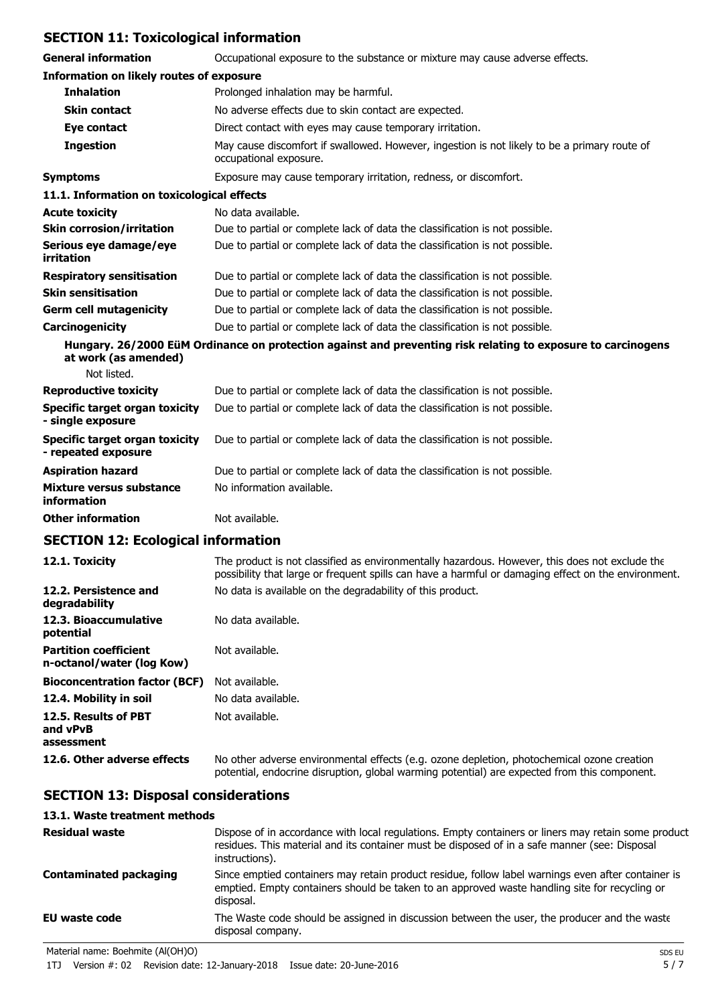# **SECTION 11: Toxicological information**

| <b>General information</b>                                   | Occupational exposure to the substance or mixture may cause adverse effects.                                           |
|--------------------------------------------------------------|------------------------------------------------------------------------------------------------------------------------|
| <b>Information on likely routes of exposure</b>              |                                                                                                                        |
| <b>Inhalation</b>                                            | Prolonged inhalation may be harmful.                                                                                   |
| <b>Skin contact</b>                                          | No adverse effects due to skin contact are expected.                                                                   |
| Eye contact                                                  | Direct contact with eyes may cause temporary irritation.                                                               |
| <b>Ingestion</b>                                             | May cause discomfort if swallowed. However, ingestion is not likely to be a primary route of<br>occupational exposure. |
| <b>Symptoms</b>                                              | Exposure may cause temporary irritation, redness, or discomfort.                                                       |
| 11.1. Information on toxicological effects                   |                                                                                                                        |
| <b>Acute toxicity</b>                                        | No data available.                                                                                                     |
| <b>Skin corrosion/irritation</b>                             | Due to partial or complete lack of data the classification is not possible.                                            |
| Serious eye damage/eye<br>irritation                         | Due to partial or complete lack of data the classification is not possible.                                            |
| <b>Respiratory sensitisation</b>                             | Due to partial or complete lack of data the classification is not possible.                                            |
| <b>Skin sensitisation</b>                                    | Due to partial or complete lack of data the classification is not possible.                                            |
| <b>Germ cell mutagenicity</b>                                | Due to partial or complete lack of data the classification is not possible.                                            |
| Carcinogenicity                                              | Due to partial or complete lack of data the classification is not possible.                                            |
| at work (as amended)                                         | Hungary. 26/2000 EüM Ordinance on protection against and preventing risk relating to exposure to carcinogens           |
| Not listed.                                                  |                                                                                                                        |
| <b>Reproductive toxicity</b>                                 | Due to partial or complete lack of data the classification is not possible.                                            |
| <b>Specific target organ toxicity</b><br>- single exposure   | Due to partial or complete lack of data the classification is not possible.                                            |
| <b>Specific target organ toxicity</b><br>- repeated exposure | Due to partial or complete lack of data the classification is not possible.                                            |
| <b>Aspiration hazard</b>                                     | Due to partial or complete lack of data the classification is not possible.                                            |
| Mixture versus substance<br>information                      | No information available.                                                                                              |
| <b>Other information</b>                                     | Not available.                                                                                                         |
|                                                              |                                                                                                                        |

### **SECTION 12: Ecological information**

| 12.1. Toxicity                                            | The product is not classified as environmentally hazardous. However, this does not exclude the<br>possibility that large or frequent spills can have a harmful or damaging effect on the environment. |
|-----------------------------------------------------------|-------------------------------------------------------------------------------------------------------------------------------------------------------------------------------------------------------|
| 12.2. Persistence and<br>degradability                    | No data is available on the degradability of this product.                                                                                                                                            |
| 12.3. Bioaccumulative<br>potential                        | No data available.                                                                                                                                                                                    |
| <b>Partition coefficient</b><br>n-octanol/water (log Kow) | Not available.                                                                                                                                                                                        |
| <b>Bioconcentration factor (BCF)</b>                      | Not available.                                                                                                                                                                                        |
| 12.4. Mobility in soil                                    | No data available.                                                                                                                                                                                    |
| 12.5. Results of PBT<br>and vPvB<br>assessment            | Not available.                                                                                                                                                                                        |
| 12.6. Other adverse effects                               | No other adverse environmental effects (e.g. ozone depletion, photochemical ozone creation<br>potential, endocrine disruption, global warming potential) are expected from this component.            |

# **SECTION 13: Disposal considerations**

#### **13.1. Waste treatment methods** Dispose of in accordance with local regulations. Empty containers or liners may retain some product residues. This material and its container must be disposed of in a safe manner (see: Disposal instructions). **Residual waste** Since emptied containers may retain product residue, follow label warnings even after container is emptied. Empty containers should be taken to an approved waste handling site for recycling or disposal. **Contaminated packaging EU waste code** The Waste code should be assigned in discussion between the user, the producer and the waste disposal company.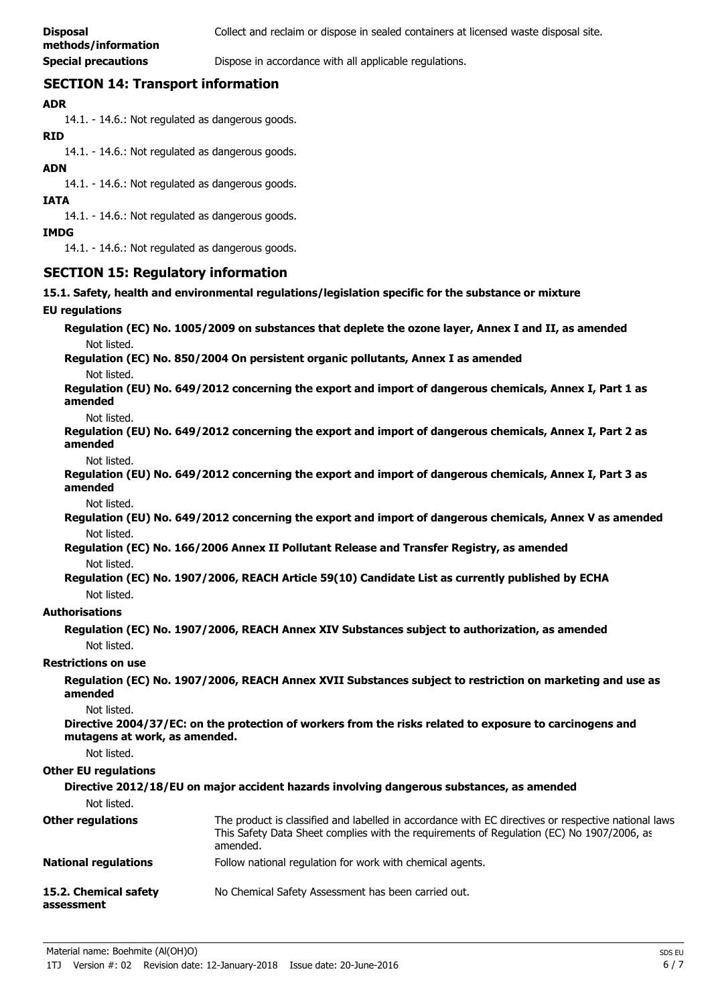**Special precautions Dispose in accordance with all applicable regulations.** 

# **SECTION 14: Transport information**

### **ADR**

14.1. - 14.6.: Not regulated as dangerous goods.

### **RID**

14.1. - 14.6.: Not regulated as dangerous goods.

### **ADN**

14.1. - 14.6.: Not regulated as dangerous goods.

#### **IATA**

14.1. - 14.6.: Not regulated as dangerous goods.

#### **IMDG**

14.1. - 14.6.: Not regulated as dangerous goods.

## **SECTION 15: Regulatory information**

**15.1. Safety, health and environmental regulations/legislation specific for the substance or mixture**

### **EU regulations**

**Regulation (EC) No. 1005/2009 on substances that deplete the ozone layer, Annex I and II, as amended** Not listed.

**Regulation (EC) No. 850/2004 On persistent organic pollutants, Annex I as amended** Not listed.

**Regulation (EU) No. 649/2012 concerning the export and import of dangerous chemicals, Annex I, Part 1 as amended**

#### Not listed.

**Regulation (EU) No. 649/2012 concerning the export and import of dangerous chemicals, Annex I, Part 2 as amended**

Not listed.

**Regulation (EU) No. 649/2012 concerning the export and import of dangerous chemicals, Annex I, Part 3 as amended**

Not listed.

**Regulation (EU) No. 649/2012 concerning the export and import of dangerous chemicals, Annex V as amended** Not listed.

**Regulation (EC) No. 166/2006 Annex II Pollutant Release and Transfer Registry, as amended** Not listed.

**Regulation (EC) No. 1907/2006, REACH Article 59(10) Candidate List as currently published by ECHA** Not listed.

### **Authorisations**

**Regulation (EC) No. 1907/2006, REACH Annex XIV Substances subject to authorization, as amended** Not listed.

### **Restrictions on use**

**Regulation (EC) No. 1907/2006, REACH Annex XVII Substances subject to restriction on marketing and use as amended**

Not listed.

**Directive 2004/37/EC: on the protection of workers from the risks related to exposure to carcinogens and mutagens at work, as amended.**

Not listed.

#### **Other EU regulations**

| Not listed.                         | Directive 2012/18/EU on major accident hazards involving dangerous substances, as amended                                                                                                                     |
|-------------------------------------|---------------------------------------------------------------------------------------------------------------------------------------------------------------------------------------------------------------|
| <b>Other regulations</b>            | The product is classified and labelled in accordance with EC directives or respective national laws.<br>This Safety Data Sheet complies with the requirements of Regulation (EC) No 1907/2006, as<br>amended. |
| <b>National regulations</b>         | Follow national regulation for work with chemical agents.                                                                                                                                                     |
| 15.2. Chemical safety<br>assessment | No Chemical Safety Assessment has been carried out.                                                                                                                                                           |